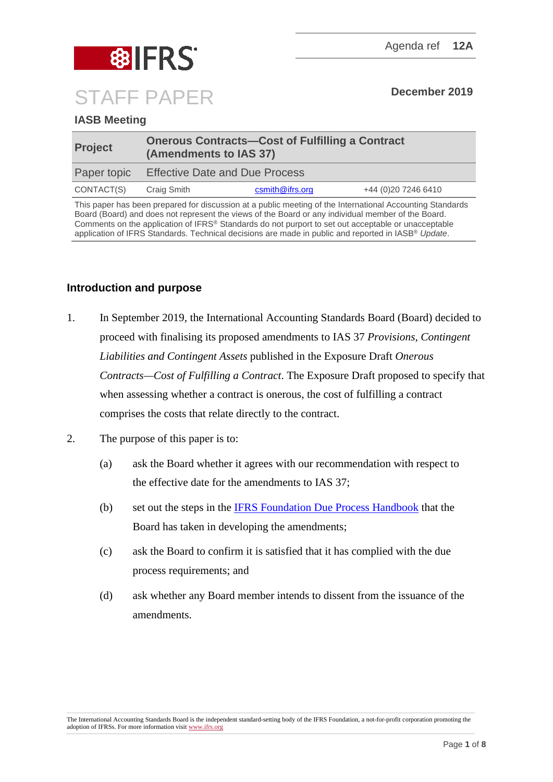

## **IASB Meeting**

| <b>Project</b> | <b>Onerous Contracts-Cost of Fulfilling a Contract</b><br>(Amendments to IAS 37) |                 |                      |
|----------------|----------------------------------------------------------------------------------|-----------------|----------------------|
| Paper topic    | <b>Effective Date and Due Process</b>                                            |                 |                      |
| CONTACT(S)     | Craig Smith                                                                      | csmith@ifrs.org | +44 (0) 20 7246 6410 |

This paper has been prepared for discussion at a public meeting of the International Accounting Standards Board (Board) and does not represent the views of the Board or any individual member of the Board. Comments on the application of IFRS® Standards do not purport to set out acceptable or unacceptable application of IFRS Standards. Technical decisions are made in public and reported in IASB® *Update*.

## **Introduction and purpose**

- 1. In September 2019, the International Accounting Standards Board (Board) decided to proceed with finalising its proposed amendments to IAS 37 *Provisions, Contingent Liabilities and Contingent Assets* published in the Exposure Draft *Onerous Contracts—Cost of Fulfilling a Contract*. The Exposure Draft proposed to specify that when assessing whether a contract is onerous, the cost of fulfilling a contract comprises the costs that relate directly to the contract.
- 2. The purpose of this paper is to:
	- (a) ask the Board whether it agrees with our recommendation with respect to the effective date for the amendments to IAS 37;
	- (b) set out the steps in the [IFRS Foundation Due Process Handbook](https://www.ifrs.org/-/media/feature/about-us/legal-and-governance/constitution-docs/due-process-handbook.pdf) that the Board has taken in developing the amendments;
	- (c) ask the Board to confirm it is satisfied that it has complied with the due process requirements; and
	- (d) ask whether any Board member intends to dissent from the issuance of the amendments.

The International Accounting Standards Board is the independent standard-setting body of the IFRS Foundation, a not-for-profit corporation promoting the adoption of IFRSs. For more information visi[t www.ifrs.org](http://www.ifrs.org/)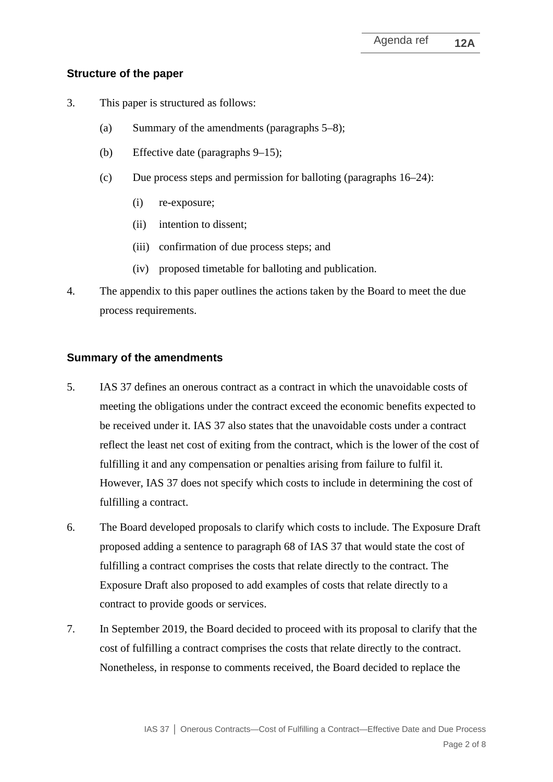#### **Structure of the paper**

- 3. This paper is structured as follows:
	- (a) Summary of the amendments (paragraphs [5–](#page-1-0)[8\)](#page-2-0);
	- (b) Effective date (paragraphs [9](#page-2-1)[–15\)](#page-2-2);
	- (c) Due process steps and permission for balloting (paragraphs [16–](#page-3-0)[24\)](#page-5-0):
		- (i) re-exposure;
		- (ii) intention to dissent;
		- (iii) confirmation of due process steps; and
		- (iv) proposed timetable for balloting and publication.
- 4. The appendix to this paper outlines the actions taken by the Board to meet the due process requirements.

## **Summary of the amendments**

- <span id="page-1-0"></span>5. IAS 37 defines an onerous contract as a contract in which the unavoidable costs of meeting the obligations under the contract exceed the economic benefits expected to be received under it. IAS 37 also states that the unavoidable costs under a contract reflect the least net cost of exiting from the contract, which is the lower of the cost of fulfilling it and any compensation or penalties arising from failure to fulfil it. However, IAS 37 does not specify which costs to include in determining the cost of fulfilling a contract.
- 6. The Board developed proposals to clarify which costs to include. The Exposure Draft proposed adding a sentence to paragraph 68 of IAS 37 that would state the cost of fulfilling a contract comprises the costs that relate directly to the contract. The Exposure Draft also proposed to add examples of costs that relate directly to a contract to provide goods or services.
- <span id="page-1-1"></span>7. In September 2019, the Board decided to proceed with its proposal to clarify that the cost of fulfilling a contract comprises the costs that relate directly to the contract. Nonetheless, in response to comments received, the Board decided to replace the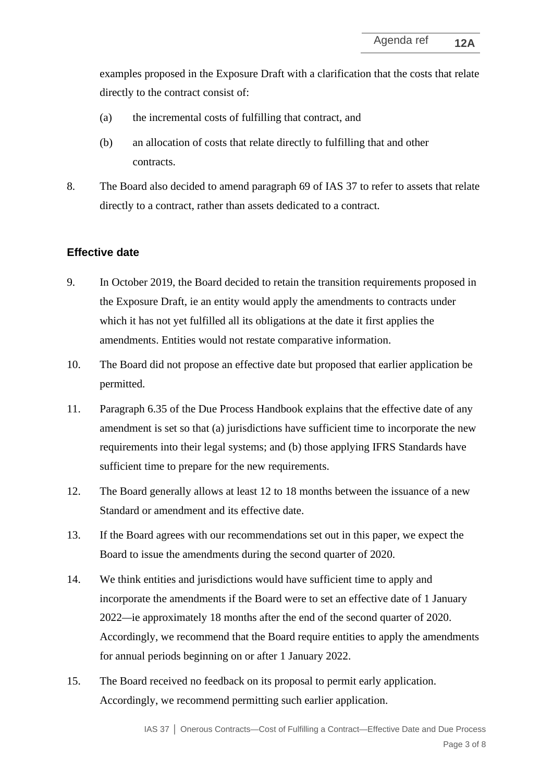examples proposed in the Exposure Draft with a clarification that the costs that relate directly to the contract consist of:

- (a) the incremental costs of fulfilling that contract, and
- (b) an allocation of costs that relate directly to fulfilling that and other contracts.
- <span id="page-2-0"></span>8. The Board also decided to amend paragraph 69 of IAS 37 to refer to assets that relate directly to a contract, rather than assets dedicated to a contract.

## **Effective date**

- <span id="page-2-1"></span>9. In October 2019, the Board decided to retain the transition requirements proposed in the Exposure Draft, ie an entity would apply the amendments to contracts under which it has not yet fulfilled all its obligations at the date it first applies the amendments. Entities would not restate comparative information.
- 10. The Board did not propose an effective date but proposed that earlier application be permitted.
- 11. Paragraph 6.35 of the Due Process Handbook explains that the effective date of any amendment is set so that (a) jurisdictions have sufficient time to incorporate the new requirements into their legal systems; and (b) those applying IFRS Standards have sufficient time to prepare for the new requirements.
- 12. The Board generally allows at least 12 to 18 months between the issuance of a new Standard or amendment and its effective date.
- 13. If the Board agrees with our recommendations set out in this paper, we expect the Board to issue the amendments during the second quarter of 2020.
- 14. We think entities and jurisdictions would have sufficient time to apply and incorporate the amendments if the Board were to set an effective date of 1 January 2022*—*ie approximately 18 months after the end of the second quarter of 2020. Accordingly, we recommend that the Board require entities to apply the amendments for annual periods beginning on or after 1 January 2022.
- <span id="page-2-2"></span>15. The Board received no feedback on its proposal to permit early application. Accordingly, we recommend permitting such earlier application.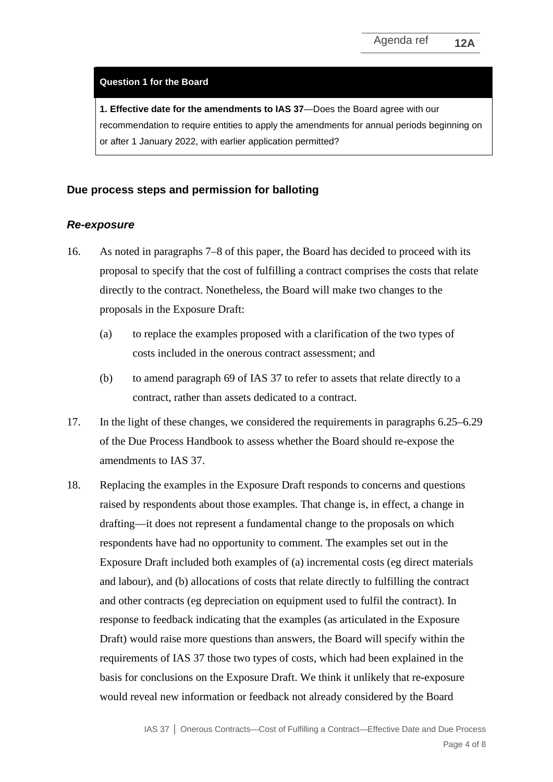#### **Question 1 for the Board**

**1. Effective date for the amendments to IAS 37**—Does the Board agree with our recommendation to require entities to apply the amendments for annual periods beginning on or after 1 January 2022, with earlier application permitted?

#### **Due process steps and permission for balloting**

#### *Re-exposure*

- <span id="page-3-0"></span>16. As noted in paragraphs [7–](#page-1-1)[8](#page-2-0) of this paper, the Board has decided to proceed with its proposal to specify that the cost of fulfilling a contract comprises the costs that relate directly to the contract. Nonetheless, the Board will make two changes to the proposals in the Exposure Draft:
	- (a) to replace the examples proposed with a clarification of the two types of costs included in the onerous contract assessment; and
	- (b) to amend paragraph 69 of IAS 37 to refer to assets that relate directly to a contract, rather than assets dedicated to a contract.
- 17. In the light of these changes, we considered the requirements in paragraphs 6.25–6.29 of the Due Process Handbook to assess whether the Board should re-expose the amendments to IAS 37.
- 18. Replacing the examples in the Exposure Draft responds to concerns and questions raised by respondents about those examples. That change is, in effect, a change in drafting—it does not represent a fundamental change to the proposals on which respondents have had no opportunity to comment. The examples set out in the Exposure Draft included both examples of (a) incremental costs (eg direct materials and labour), and (b) allocations of costs that relate directly to fulfilling the contract and other contracts (eg depreciation on equipment used to fulfil the contract). In response to feedback indicating that the examples (as articulated in the Exposure Draft) would raise more questions than answers, the Board will specify within the requirements of IAS 37 those two types of costs, which had been explained in the basis for conclusions on the Exposure Draft. We think it unlikely that re-exposure would reveal new information or feedback not already considered by the Board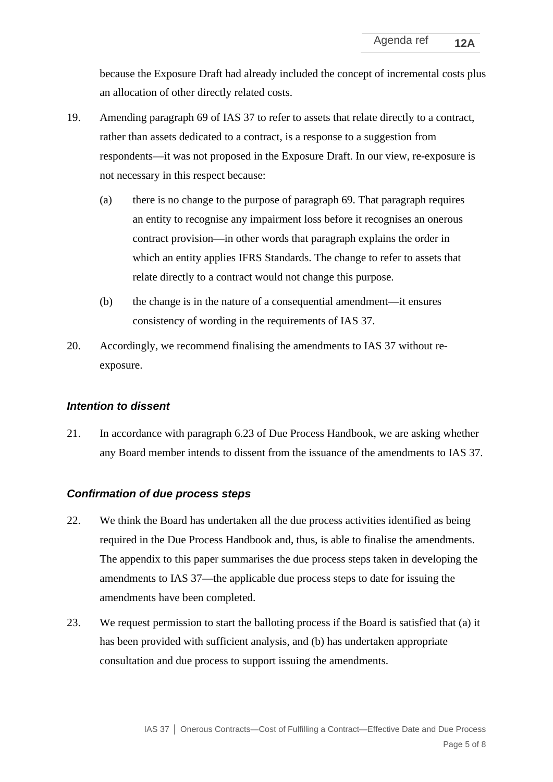because the Exposure Draft had already included the concept of incremental costs plus an allocation of other directly related costs.

- <span id="page-4-1"></span>19. Amending paragraph 69 of IAS 37 to refer to assets that relate directly to a contract, rather than assets dedicated to a contract, is a response to a suggestion from respondents—it was not proposed in the Exposure Draft. In our view, re-exposure is not necessary in this respect because:
	- (a) there is no change to the purpose of paragraph 69. That paragraph requires an entity to recognise any impairment loss before it recognises an onerous contract provision—in other words that paragraph explains the order in which an entity applies IFRS Standards. The change to refer to assets that relate directly to a contract would not change this purpose.
	- (b) the change is in the nature of a consequential amendment—it ensures consistency of wording in the requirements of IAS 37.
- <span id="page-4-0"></span>20. Accordingly, we recommend finalising the amendments to IAS 37 without reexposure.

## *Intention to dissent*

21. In accordance with paragraph 6.23 of Due Process Handbook, we are asking whether any Board member intends to dissent from the issuance of the amendments to IAS 37.

#### *Confirmation of due process steps*

- 22. We think the Board has undertaken all the due process activities identified as being required in the Due Process Handbook and, thus, is able to finalise the amendments. The appendix to this paper summarises the due process steps taken in developing the amendments to IAS 37—the applicable due process steps to date for issuing the amendments have been completed.
- 23. We request permission to start the balloting process if the Board is satisfied that (a) it has been provided with sufficient analysis, and (b) has undertaken appropriate consultation and due process to support issuing the amendments.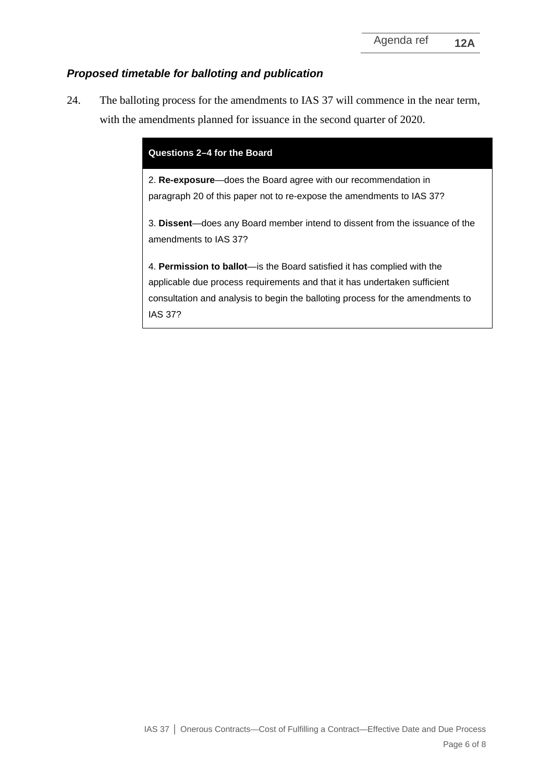# *Proposed timetable for balloting and publication*

<span id="page-5-0"></span>24. The balloting process for the amendments to IAS 37 will commence in the near term, with the amendments planned for issuance in the second quarter of 2020.

| Questions 2-4 for the Board                                                                                                                                                                                                                                      |  |  |
|------------------------------------------------------------------------------------------------------------------------------------------------------------------------------------------------------------------------------------------------------------------|--|--|
| 2. Re-exposure-does the Board agree with our recommendation in<br>paragraph 20 of this paper not to re-expose the amendments to IAS 37?                                                                                                                          |  |  |
| 3. Dissent—does any Board member intend to dissent from the issuance of the<br>amendments to IAS 37?                                                                                                                                                             |  |  |
| 4. <b>Permission to ballot</b> —is the Board satisfied it has complied with the<br>applicable due process requirements and that it has undertaken sufficient<br>consultation and analysis to begin the balloting process for the amendments to<br><b>IAS 37?</b> |  |  |
|                                                                                                                                                                                                                                                                  |  |  |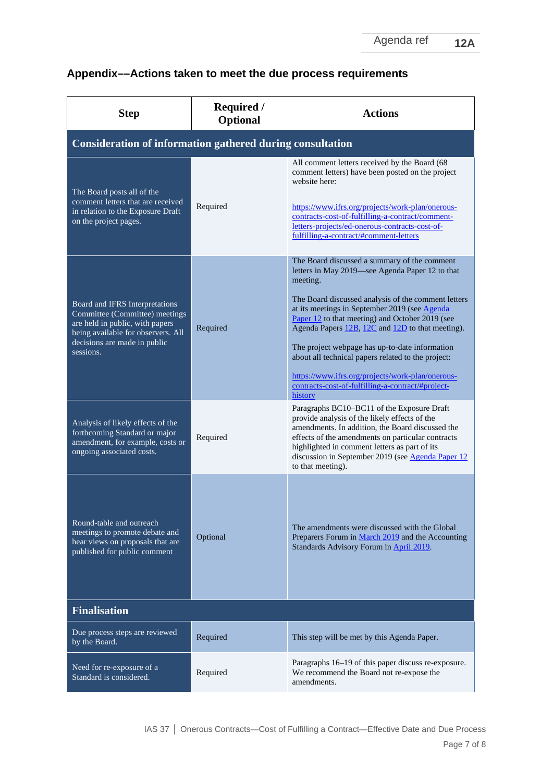# **Appendix––Actions taken to meet the due process requirements**

| <b>Step</b>                                                                                                                                                                            | <b>Required /</b><br><b>Optional</b> | <b>Actions</b>                                                                                                                                                                                                                                                                                                                                                                                                                                                                                                                                         |  |  |  |
|----------------------------------------------------------------------------------------------------------------------------------------------------------------------------------------|--------------------------------------|--------------------------------------------------------------------------------------------------------------------------------------------------------------------------------------------------------------------------------------------------------------------------------------------------------------------------------------------------------------------------------------------------------------------------------------------------------------------------------------------------------------------------------------------------------|--|--|--|
| <b>Consideration of information gathered during consultation</b>                                                                                                                       |                                      |                                                                                                                                                                                                                                                                                                                                                                                                                                                                                                                                                        |  |  |  |
| The Board posts all of the<br>comment letters that are received<br>in relation to the Exposure Draft<br>on the project pages.                                                          | Required                             | All comment letters received by the Board (68<br>comment letters) have been posted on the project<br>website here:<br>https://www.ifrs.org/projects/work-plan/onerous-<br>contracts-cost-of-fulfilling-a-contract/comment-<br>letters-projects/ed-onerous-contracts-cost-of-<br>fulfilling-a-contract/#comment-letters                                                                                                                                                                                                                                 |  |  |  |
| Board and IFRS Interpretations<br>Committee (Committee) meetings<br>are held in public, with papers<br>being available for observers. All<br>decisions are made in public<br>sessions. | Required                             | The Board discussed a summary of the comment<br>letters in May 2019—see Agenda Paper 12 to that<br>meeting.<br>The Board discussed analysis of the comment letters<br>at its meetings in September 2019 (see Agenda<br>Paper 12 to that meeting) and October 2019 (see<br>Agenda Papers 12B, 12C and 12D to that meeting).<br>The project webpage has up-to-date information<br>about all technical papers related to the project:<br>https://www.ifrs.org/projects/work-plan/onerous-<br>contracts-cost-of-fulfilling-a-contract/#project-<br>history |  |  |  |
| Analysis of likely effects of the<br>forthcoming Standard or major<br>amendment, for example, costs or<br>ongoing associated costs.                                                    | Required                             | Paragraphs BC10–BC11 of the Exposure Draft<br>provide analysis of the likely effects of the<br>amendments. In addition, the Board discussed the<br>effects of the amendments on particular contracts<br>highlighted in comment letters as part of its<br>discussion in September 2019 (see Agenda Paper 12<br>to that meeting).                                                                                                                                                                                                                        |  |  |  |
| Round-table and outreach<br>meetings to promote debate and<br>hear views on proposals that are<br>published for public comment                                                         | Optional                             | The amendments were discussed with the Global<br>Preparers Forum in March 2019 and the Accounting<br>Standards Advisory Forum in April 2019.                                                                                                                                                                                                                                                                                                                                                                                                           |  |  |  |
| <b>Finalisation</b>                                                                                                                                                                    |                                      |                                                                                                                                                                                                                                                                                                                                                                                                                                                                                                                                                        |  |  |  |
| Due process steps are reviewed<br>by the Board.                                                                                                                                        | Required                             | This step will be met by this Agenda Paper.                                                                                                                                                                                                                                                                                                                                                                                                                                                                                                            |  |  |  |
| Need for re-exposure of a<br>Standard is considered.                                                                                                                                   | Required                             | Paragraphs 16–19 of this paper discuss re-exposure.<br>We recommend the Board not re-expose the<br>amendments.                                                                                                                                                                                                                                                                                                                                                                                                                                         |  |  |  |